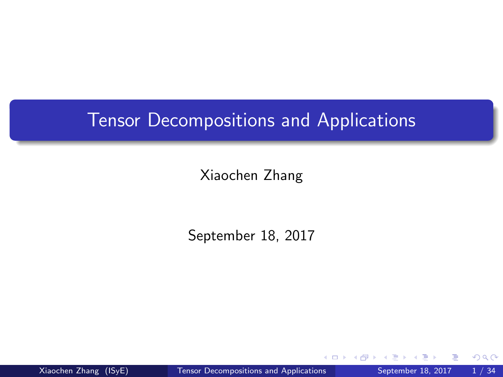#### <span id="page-0-0"></span>Tensor Decompositions and Applications

Xiaochen Zhang

September 18, 2017

Xiaochen Zhang (ISyE) [Tensor Decompositions and Applications](#page-33-0) September 18, 2017 1/34

 $QQ$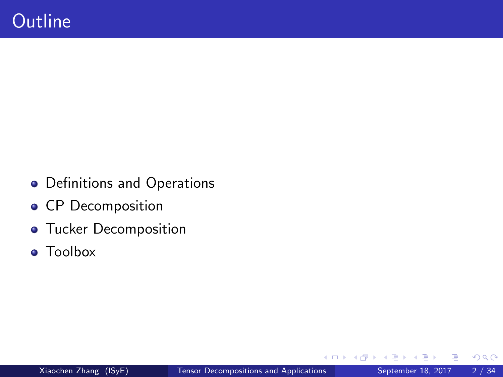- Definitions and Operations
- CP Decomposition
- **o** Tucker Decomposition
- **•** Toolbox

4 D F

∢ ⁄ ⊕ →

э

 $299$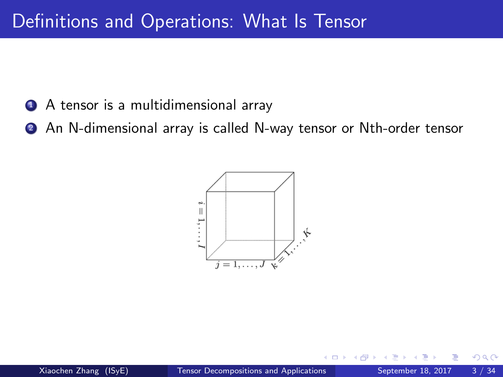- <sup>1</sup> A tensor is a multidimensional array
- **2** An N-dimensional array is called N-way tensor or Nth-order tensor

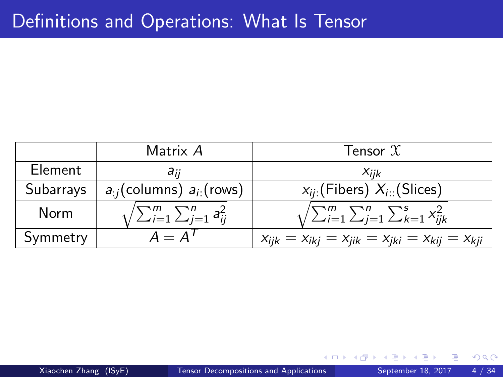|                | Matrix A                                   | Tensor $\mathfrak X$                                        |
|----------------|--------------------------------------------|-------------------------------------------------------------|
| <b>Element</b> | aii                                        | Xiik                                                        |
| Subarrays      | $a_{i}$ (columns) $a_{i}$ (rows)           | $x_{ii}$ (Fibers) $X_{i}$ (Slices)                          |
| Norm           | $\sqrt{\sum_{i=1}^m\sum_{j=1}^n a_{ij}^2}$ | $\sqrt{\sum_{i=1}^m \sum_{j=1}^n \sum_{k=1}^s x_{ijk}^2}$   |
| Symmetry       | $A = A'$                                   | $x_{ijk} = x_{ikj} = x_{jik} = x_{jki} = x_{kij} = x_{kji}$ |

 $\leftarrow$ 

 $299$ 

э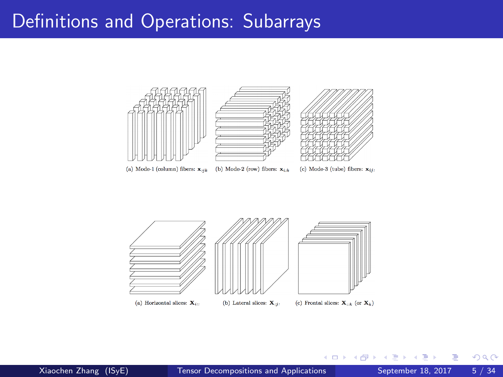#### Definitions and Operations: Subarrays



 $\mathcal{A}$ 

4 0 8

4 f →  $\mathcal{A}$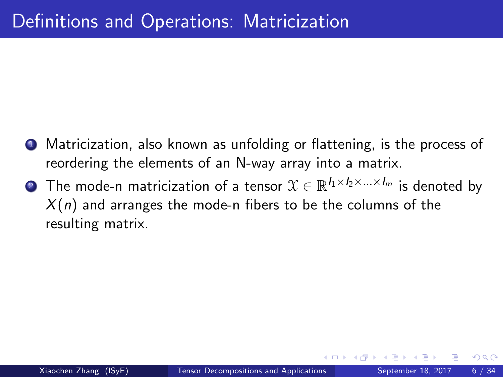- **•** Matricization, also known as unfolding or flattening, is the process of reordering the elements of an N-way array into a matrix.
- $\textbf{2}$  The mode-n matricization of a tensor  $\mathfrak{X}\in\mathbb{R}^{I_1\times I_2\times...\times I_m}$  is denoted by  $X(n)$  and arranges the mode-n fibers to be the columns of the resulting matrix.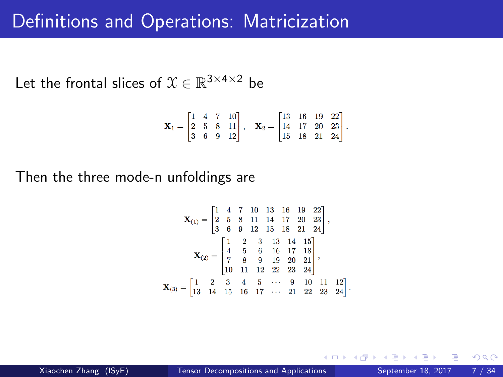#### Definitions and Operations: Matricization

Let the frontal slices of  $\mathfrak{X} \in \mathbb{R}^{3 \times 4 \times 2}$  be

$$
\mathbf{X}_1 = \begin{bmatrix} 1 & 4 & 7 & 10 \\ 2 & 5 & 8 & 11 \\ 3 & 6 & 9 & 12 \end{bmatrix}, \quad \mathbf{X}_2 = \begin{bmatrix} 13 & 16 & 19 & 22 \\ 14 & 17 & 20 & 23 \\ 15 & 18 & 21 & 24 \end{bmatrix}.
$$

Then the three mode-n unfoldings are

$$
\mathbf{X}_{(1)} = \begin{bmatrix} 1 & 4 & 7 & 10 & 13 & 16 & 19 & 22 \\ 2 & 5 & 8 & 11 & 14 & 17 & 20 & 23 \\ 3 & 6 & 9 & 12 & 15 & 18 & 21 & 24 \end{bmatrix},
$$

$$
\mathbf{X}_{(2)} = \begin{bmatrix} 1 & 2 & 3 & 13 & 14 & 15 \\ 4 & 5 & 6 & 16 & 17 & 18 \\ 7 & 8 & 9 & 19 & 20 & 21 \\ 10 & 11 & 12 & 22 & 23 & 24 \end{bmatrix},
$$

$$
\mathbf{X}_{(3)} = \begin{bmatrix} 1 & 2 & 3 & 4 & 5 & \cdots & 9 & 10 & 11 & 12 \\ 13 & 14 & 15 & 16 & 17 & \cdots & 21 & 22 & 23 & 24 \end{bmatrix}.
$$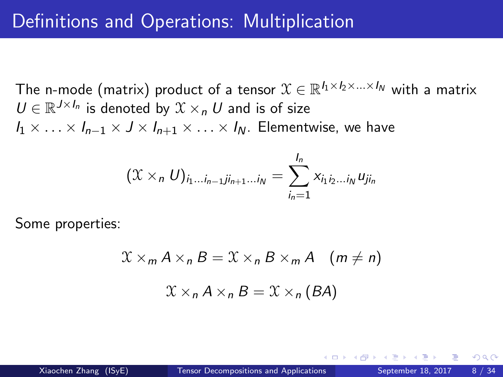The n-mode (matrix) product of a tensor  $\mathfrak{X}\in\mathbb{R}^{I_1\times I_2\times...\times I_N}$  with a matrix  $U \in \mathbb{R}^{J \times I_n}$  is denoted by  $\mathfrak{X} \times_n U$  and is of size  $I_1 \times \ldots \times I_{n-1} \times J \times I_{n+1} \times \ldots \times I_N$ . Elementwise, we have

$$
(\mathfrak{X} \times_n U)_{i_1...i_{n-1}ji_{n+1}...i_N} = \sum_{i_n=1}^{l_n} x_{i_1 i_2...i_N} u_{ji_n}
$$

Some properties:

$$
\mathcal{X} \times_{m} A \times_{n} B = \mathcal{X} \times_{n} B \times_{m} A \quad (m \neq n)
$$

$$
\mathcal{X} \times_{n} A \times_{n} B = \mathcal{X} \times_{n} (BA)
$$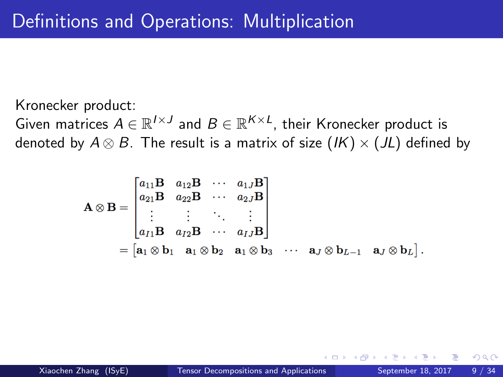Kronecker product:

Given matrices  $A \in \mathbb{R}^{I \times J}$  and  $B \in \mathbb{R}^{K \times L}$ , their Kronecker product is denoted by  $A \otimes B$ . The result is a matrix of size  $(K) \times (JL)$  defined by

$$
\mathbf{A} \otimes \mathbf{B} = \begin{bmatrix} a_{11} \mathbf{B} & a_{12} \mathbf{B} & \cdots & a_{1J} \mathbf{B} \\ a_{21} \mathbf{B} & a_{22} \mathbf{B} & \cdots & a_{2J} \mathbf{B} \\ \vdots & \vdots & \ddots & \vdots \\ a_{I1} \mathbf{B} & a_{I2} \mathbf{B} & \cdots & a_{IJ} \mathbf{B} \end{bmatrix}
$$

$$
= [\mathbf{a}_1 \otimes \mathbf{b}_1 \quad \mathbf{a}_1 \otimes \mathbf{b}_2 \quad \mathbf{a}_1 \otimes \mathbf{b}_3 \quad \cdots \quad \mathbf{a}_J \otimes \mathbf{b}_{L-1} \quad \mathbf{a}_J \otimes \mathbf{b}_L].
$$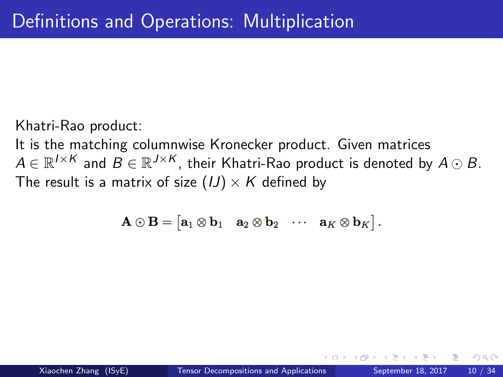Khatri-Rao product:

It is the matching columnwise Kronecker product. Given matrices  $A \in \mathbb{R}^{I \times K}$  and  $B \in \mathbb{R}^{J \times K}$ , their Khatri-Rao product is denoted by  $A \odot B.$ The result is a matrix of size  $(1) \times K$  defined by

$$
\mathbf{A}\odot \mathbf{B}=\begin{bmatrix} \mathbf{a}_1\otimes \mathbf{b}_1 & \mathbf{a}_2\otimes \mathbf{b}_2 & \cdots & \mathbf{a}_K\otimes \mathbf{b}_K \end{bmatrix}.
$$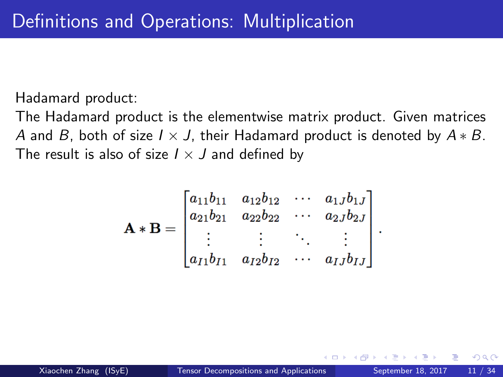Hadamard product:

The Hadamard product is the elementwise matrix product. Given matrices A and B, both of size  $I \times J$ , their Hadamard product is denoted by  $A * B$ . The result is also of size  $I \times J$  and defined by

$$
\mathbf{A} * \mathbf{B} = \begin{bmatrix} a_{11}b_{11} & a_{12}b_{12} & \cdots & a_{1J}b_{1J} \\ a_{21}b_{21} & a_{22}b_{22} & \cdots & a_{2J}b_{2J} \\ \vdots & \vdots & \ddots & \vdots \\ a_{I1}b_{I1} & a_{I2}b_{I2} & \cdots & a_{IJ}b_{IJ} \end{bmatrix}
$$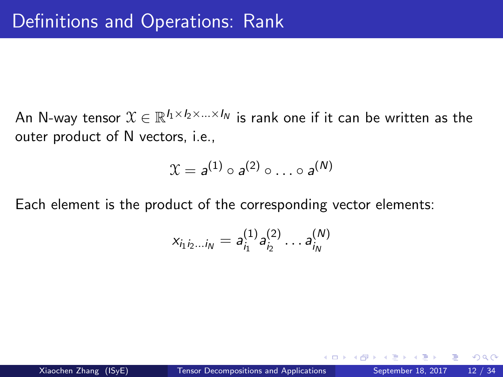An N-way tensor  $\mathfrak{X}\in\mathbb{R}^{I_1\times I_2\times...\times I_N}$  is rank one if it can be written as the outer product of N vectors, i.e.,

$$
\mathfrak{X} = a^{(1)} \circ a^{(2)} \circ \ldots \circ a^{(N)}
$$

Each element is the product of the corresponding vector elements:

$$
x_{i_1i_2...i_N}=a_{i_1}^{(1)}a_{i_2}^{(2)}\ldots a_{i_N}^{(N)}
$$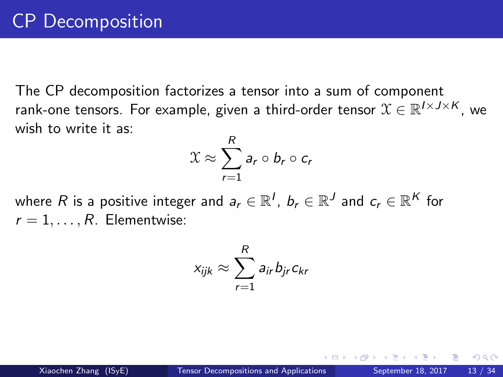The CP decomposition factorizes a tensor into a sum of component rank-one tensors. For example, given a third-order tensor  $\mathfrak{X} \in \mathbb{R}^{I \times J \times K}$ , we wish to write it as:

$$
\mathfrak{X} \approx \sum_{r=1}^R a_r \circ b_r \circ c_r
$$

where  $R$  is a positive integer and  $\mathbf{a}_r \in \mathbb{R}^I$ ,  $\mathbf{b}_r \in \mathbb{R}^J$  and  $\mathbf{c}_r \in \mathbb{R}^K$  for  $r = 1, \ldots, R$ . Elementwise:

$$
x_{ijk} \approx \sum_{r=1}^{R} a_{ir} b_{jr} c_{kr}
$$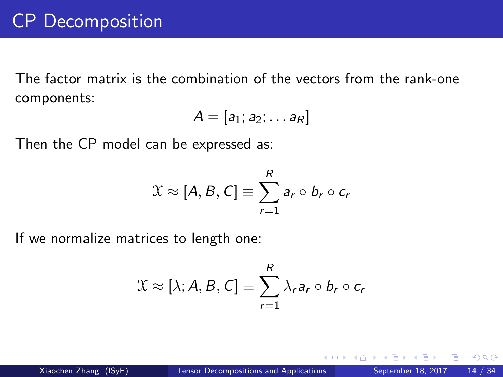The factor matrix is the combination of the vectors from the rank-one components:

$$
A=[a_1;a_2;\ldots a_R]
$$

Then the CP model can be expressed as:

$$
\mathfrak{X} \approx [A, B, C] \equiv \sum_{r=1}^{R} a_r \circ b_r \circ c_r
$$

If we normalize matrices to length one:

$$
\mathfrak{X} \approx [\lambda; A, B, C] \equiv \sum_{r=1}^{R} \lambda_r a_r \circ b_r \circ c_r
$$

4 D F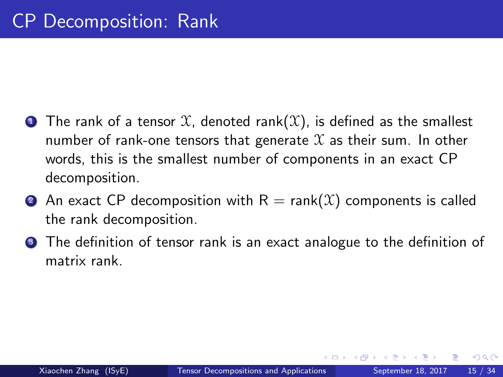- **1** The rank of a tensor  $X$ , denoted rank(X), is defined as the smallest number of rank-one tensors that generate  $\mathfrak X$  as their sum. In other words, this is the smallest number of components in an exact CP decomposition.
- **2** An exact CP decomposition with  $R = \text{rank}(\mathcal{X})$  components is called the rank decomposition.
- **3** The definition of tensor rank is an exact analogue to the definition of matrix rank.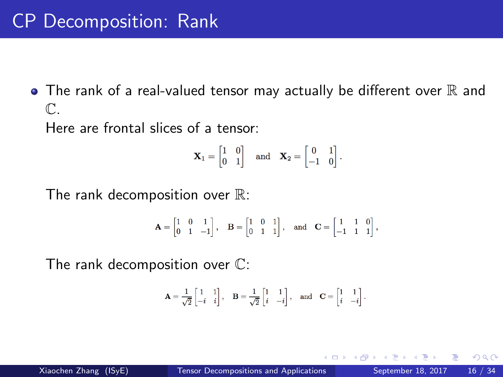## CP Decomposition: Rank

 $\bullet$  The rank of a real-valued tensor may actually be different over  $\mathbb R$  and  $\mathbb{C}$ 

Here are frontal slices of a tensor:

$$
\mathbf{X}_1 = \begin{bmatrix} 1 & 0 \\ 0 & 1 \end{bmatrix} \quad \text{and} \quad \mathbf{X}_2 = \begin{bmatrix} 0 & 1 \\ -1 & 0 \end{bmatrix}.
$$

The rank decomposition over  $\mathbb{R}$ :

$$
\mathbf{A} = \begin{bmatrix} 1 & 0 & 1 \\ 0 & 1 & -1 \end{bmatrix}, \quad \mathbf{B} = \begin{bmatrix} 1 & 0 & 1 \\ 0 & 1 & 1 \end{bmatrix}, \quad \text{and} \quad \mathbf{C} = \begin{bmatrix} 1 & 1 & 0 \\ -1 & 1 & 1 \end{bmatrix},
$$

The rank decomposition over C:

$$
\mathbf{A} = \frac{1}{\sqrt{2}}\begin{bmatrix} 1 & 1 \\ -i & i \end{bmatrix}, \quad \mathbf{B} = \frac{1}{\sqrt{2}}\begin{bmatrix} 1 & 1 \\ i & -i \end{bmatrix}, \quad \text{and} \quad \mathbf{C} = \begin{bmatrix} 1 & 1 \\ i & -i \end{bmatrix}.
$$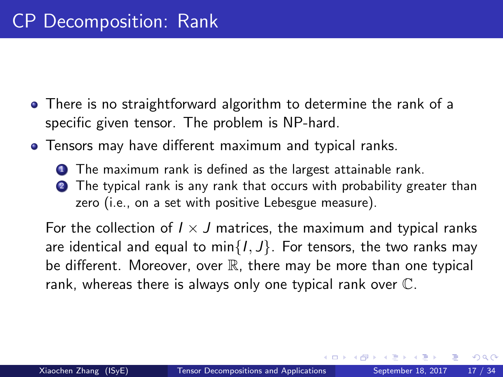- There is no straightforward algorithm to determine the rank of a specific given tensor. The problem is NP-hard.
- Tensors may have different maximum and typical ranks.
	- **1** The maximum rank is defined as the largest attainable rank. 2 The typical rank is any rank that occurs with probability greater than zero (i.e., on a set with positive Lebesgue measure).

For the collection of  $I \times J$  matrices, the maximum and typical ranks are identical and equal to min $\{1, J\}$ . For tensors, the two ranks may be different. Moreover, over  $\mathbb R$ , there may be more than one typical rank, whereas there is always only one typical rank over C.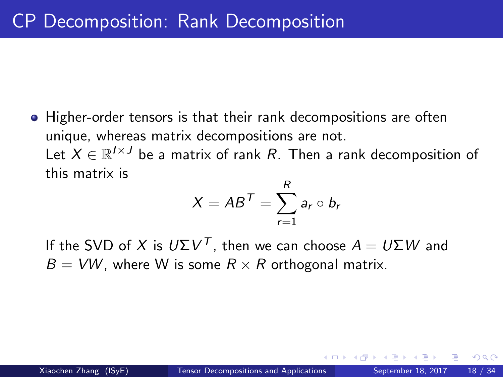Higher-order tensors is that their rank decompositions are often unique, whereas matrix decompositions are not. Let  $X \in \mathbb{R}^{I \times J}$  be a matrix of rank  $R.$  Then a rank decomposition of this matrix is

$$
X = AB^T = \sum_{r=1}^R a_r \circ b_r
$$

If the SVD of  $X$  is  $U\Sigma V^T$ , then we can choose  $A = U\Sigma W$  and  $B = VW$ , where W is some  $R \times R$  orthogonal matrix.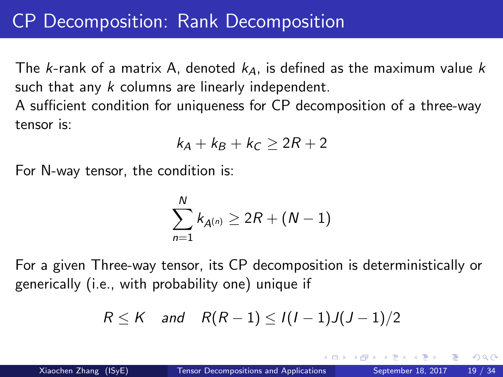## CP Decomposition: Rank Decomposition

The k-rank of a matrix A, denoted  $k_A$ , is defined as the maximum value k such that any  $k$  columns are linearly independent.

A sufficient condition for uniqueness for CP decomposition of a three-way tensor is:

$$
k_A + k_B + k_C \geq 2R + 2
$$

For N-way tensor, the condition is:

$$
\sum_{n=1}^{N} k_{A^{(n)}} \ge 2R + (N-1)
$$

For a given Three-way tensor, its CP decomposition is deterministically or generically (i.e., with probability one) unique if

$$
R \leq K \quad \text{and} \quad R(R-1) \leq I(I-1)J(J-1)/2
$$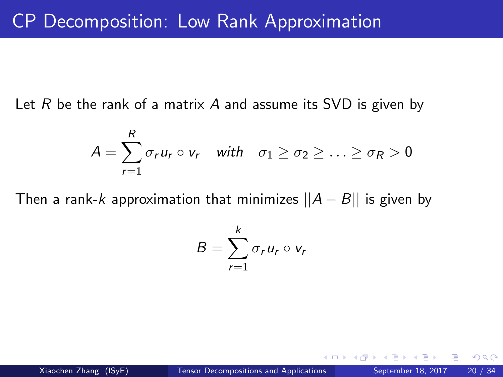Let  $R$  be the rank of a matrix  $A$  and assume its SVD is given by

$$
A = \sum_{r=1}^{R} \sigma_r u_r \circ v_r \quad \text{with} \quad \sigma_1 \ge \sigma_2 \ge \ldots \ge \sigma_R > 0
$$

Then a rank-k approximation that minimizes  $||A - B||$  is given by

$$
B=\sum_{r=1}^k \sigma_r u_r\circ v_r
$$

 $200$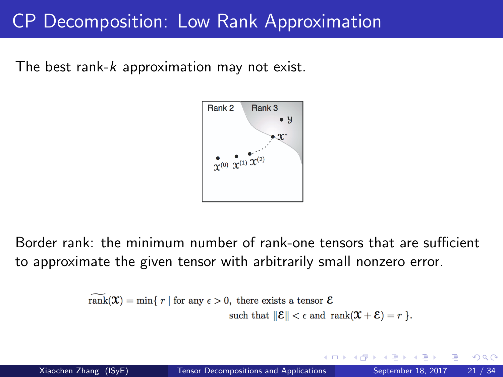#### CP Decomposition: Low Rank Approximation

The best rank-k approximation may not exist.



Border rank: the minimum number of rank-one tensors that are sufficient to approximate the given tensor with arbitrarily small nonzero error.

$$
\overline{\text{rank}}(\mathfrak{X}) = \min\{ r \mid \text{for any } \epsilon > 0, \text{ there exists a tensor } \mathcal{E} \}
$$
  
such that 
$$
\|\mathcal{E}\| < \epsilon \text{ and } \text{rank}(\mathfrak{X} + \mathcal{E}) = r \}.
$$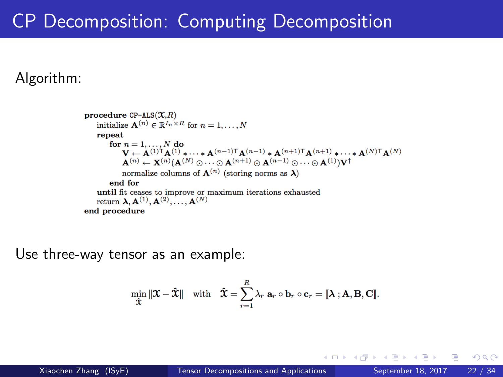## CP Decomposition: Computing Decomposition

Algorithm:

procedure  $CP-ALS(X,R)$ initialize  $\mathbf{A}^{(n)} \in \mathbb{R}^{I_n \times R}$  for  $n = 1, ..., N$ repeat for  $n = 1, ..., N$  do  $\mathbf{V} \leftarrow \mathbf{A}^{(1)\mathsf{T}} \mathbf{A}^{(1)} \star \cdots \star \mathbf{A}^{(n-1)\mathsf{T}} \mathbf{A}^{(n-1)} \star \mathbf{A}^{(n+1)\mathsf{T}} \mathbf{A}^{(n+1)} \star \cdots \star \mathbf{A}^{(N)\mathsf{T}} \mathbf{A}^{(N)}$  $\mathbf{A}^{(n)} \leftarrow \mathbf{X}^{(n)}(\mathbf{A}^{(N)} \odot \cdots \odot \mathbf{A}^{(n+1)} \odot \mathbf{A}^{(n-1)} \odot \cdots \odot \mathbf{A}^{(1)})\mathbf{V}^{\dagger}$ normalize columns of  $\mathbf{A}^{(n)}$  (storing norms as  $\lambda$ ) end for until fit ceases to improve or maximum iterations exhausted return  $\lambda, \mathbf{A}^{(1)}, \mathbf{A}^{(2)}, \ldots, \mathbf{A}^{(N)}$ end procedure

Use three-way tensor as an example:

$$
\min_{\mathbf{\hat{\mathfrak{X}}}} \|\mathbf{\mathcal{X}} - \mathbf{\hat{\mathfrak{X}}}\| \quad \text{with} \quad \mathbf{\hat{\mathfrak{X}}} = \sum_{r=1}^R \lambda_r \ \mathbf{a}_r \circ \mathbf{b}_r \circ \mathbf{c}_r = [\![ \mathbf{\lambda} \ ] \mathbf{A}, \mathbf{B}, \mathbf{C} ]\!].
$$

Barbar Bar

 $\leftarrow$   $\leftarrow$   $\leftarrow$   $\leftarrow$ 

4 D F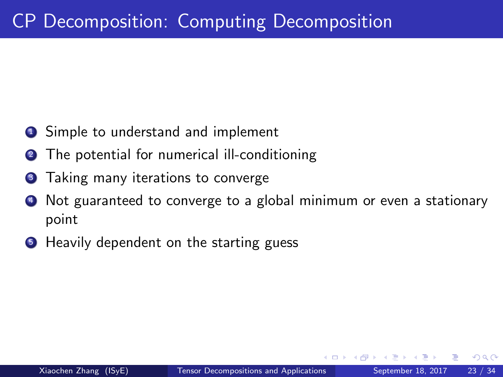- **1** Simple to understand and implement
- **2** The potential for numerical ill-conditioning
- **3** Taking many iterations to converge
- Not guaranteed to converge to a global minimum or even a stationary point
- **Heavily dependent on the starting guess**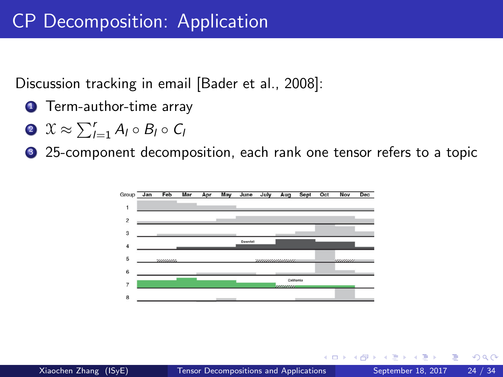Discussion tracking in email [\[Bader et al., 2008\]](#page-32-0):

- **1** Term-author-time array
- $2 \mathcal{X} \approx \sum_{l=1}^r A_l \circ B_l \circ C_l$
- <sup>3</sup> 25-component decomposition, each rank one tensor refers to a topic

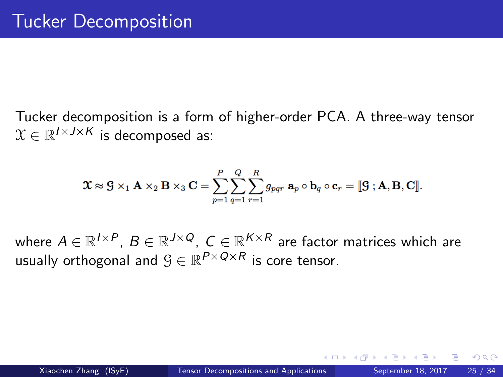Tucker decomposition is a form of higher-order PCA. A three-way tensor  $\mathcal{X} \in \mathbb{R}^{I \times J \times K}$  is decomposed as:

$$
\mathbf{\mathfrak{X}}\approx\mathbf{S}\times_{1}\mathbf{A}\times_{2}\mathbf{B}\times_{3}\mathbf{C}=\sum_{p=1}^{P}\sum_{q=1}^{Q}\sum_{r=1}^{R}g_{pqr}\ \mathbf{a}_{p}\circ\mathbf{b}_{q}\circ\mathbf{c}_{r}=[\![\mathbf{S}\!|\!],\mathbf{A},\mathbf{B},\mathbf{C}]\!].
$$

where  $A \in \mathbb{R}^{I \times P}$ ,  $B \in \mathbb{R}^{J \times Q}$ ,  $C \in \mathbb{R}^{K \times R}$  are factor matrices which are usually orthogonal and  $\mathcal{G} \in \mathbb{R}^{P \times Q \times R}$  is core tensor.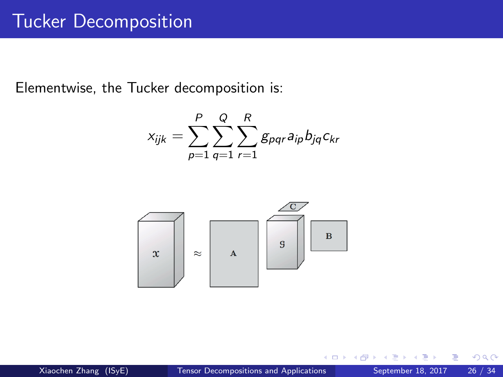Elementwise, the Tucker decomposition is:

$$
x_{ijk} = \sum_{p=1}^{P} \sum_{q=1}^{Q} \sum_{r=1}^{R} g_{pqr} a_{ip} b_{jq} c_{kr}
$$



 $\Box$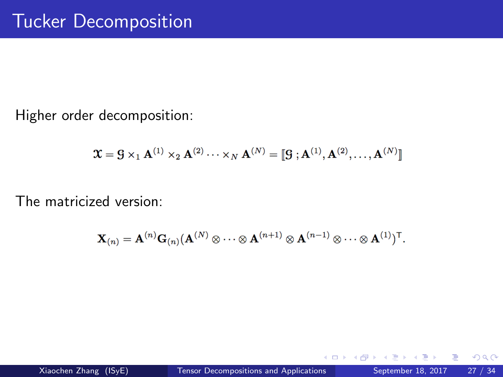Higher order decomposition:

$$
\mathbf{\mathfrak{X}} = \mathbf{S} \times_1 \mathbf{A}^{(1)} \times_2 \mathbf{A}^{(2)} \cdots \times_N \mathbf{A}^{(N)} = [\![ \mathbf{S}\!], \mathbf{A}^{(1)}, \mathbf{A}^{(2)}, \ldots, \mathbf{A}^{(N)} ]\!]
$$

The matricized version:

$$
\mathbf{X}_{(n)} = \mathbf{A}^{(n)}\mathbf{G}_{(n)}(\mathbf{A}^{(N)}\otimes\cdots\otimes\mathbf{A}^{(n+1)}\otimes\mathbf{A}^{(n-1)}\otimes\cdots\otimes\mathbf{A}^{(1)})^\mathsf{T}.
$$

4 D F

э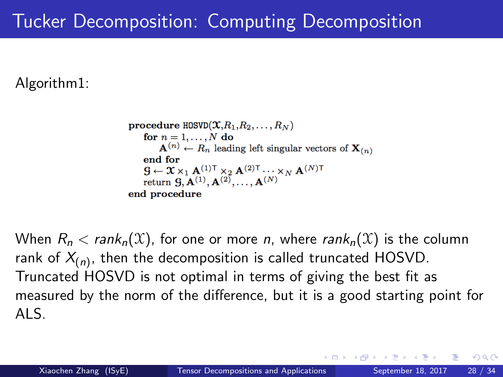# Tucker Decomposition: Computing Decomposition

Algorithm1:

procedure  $HOSVD(\mathfrak{X}, R_1, R_2, \ldots, R_N)$ for  $n = 1, ..., N$  do  $\mathbf{A}^{(n)} \leftarrow R_n$  leading left singular vectors of  $\mathbf{X}_{(n)}$ end for  $\mathbf{G} \leftarrow \mathbf{\mathcal{X}} \times_1 \mathbf{A}^{(1)\mathsf{T}} \times_2 \mathbf{A}^{(2)\mathsf{T}} \cdots \times_N \mathbf{A}^{(N)\mathsf{T}}$ return  $\mathbf{G}, \mathbf{A}^{(1)}, \mathbf{A}^{(2)}, \ldots, \mathbf{A}^{(N)}$ end procedure

When  $R_n < rank_n(\mathfrak{X})$ , for one or more *n*, where rank<sub>n</sub>( $\mathfrak{X}$ ) is the column rank of  $X_{(n)}$ , then the decomposition is called truncated HOSVD. Truncated HOSVD is not optimal in terms of giving the best fit as measured by the norm of the difference, but it is a good starting point for ALS.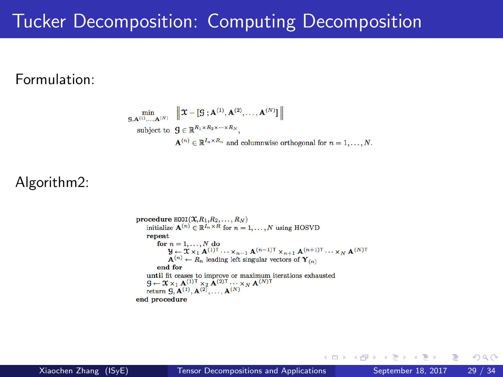#### Tucker Decomposition: Computing Decomposition

#### Formulation:

$$
\min_{\mathbf{g},\mathbf{A}^{(1)},\dots,\mathbf{A}^{(N)}} \left\| \mathbf{\mathcal{X}} - \left\| \mathbf{g} \cdot \mathbf{A}^{(1)},\mathbf{A}^{(2)},\dots,\mathbf{A}^{(N)} \right\| \right\|
$$
\nsubject to 
$$
\mathbf{g} \in \mathbb{R}^{R_1 \times R_2 \times \dots \times R_N},
$$
\n
$$
\mathbf{A}^{(n)} \in \mathbb{R}^{I_n \times R_n}
$$
 and columnwise orthogonal for  $n = 1,\dots, N$ .

#### Algorithm2:

procedure  $H00I(\mathfrak{X},R_1,R_2,\ldots,R_N)$ initialize  $\mathbf{A}^{(n)} \in \mathbb{R}^{I_n \times R}$  for  $n = 1, ..., N$  using HOSVD repeat for  $n = 1, \ldots, N$  do  $\mathcal{Y} \leftarrow \mathcal{X} \times_1 \mathbf{A}^{(1)\mathsf{T}} \cdots \times_{n-1} \mathbf{A}^{(n-1)\mathsf{T}} \times_{n+1} \mathbf{A}^{(n+1)\mathsf{T}} \cdots \times_N \mathbf{A}^{(N)\mathsf{T}}$  $\mathbf{A}^{(n)} \leftarrow \hat{R}_n$  leading left singular vectors of  $\mathbf{Y}_{(n)}$ end for until fit ceases to improve or maximum iterations exhausted  $\mathbf{S} \leftarrow \mathbf{X} \times_1 \mathbf{A}^{(1)\mathsf{T}} \times_2 \mathbf{A}^{(2)\mathsf{T}} \cdots \times_N \mathbf{A}^{(N)\mathsf{T}}$ return  $\mathbf{S}, \mathbf{A}^{(1)}, \mathbf{A}^{(2)}, \ldots, \mathbf{A}^{(N)}$ end procedure

K ロ ▶ K 何 ▶ K 국 ▶ K 국

 $QQ$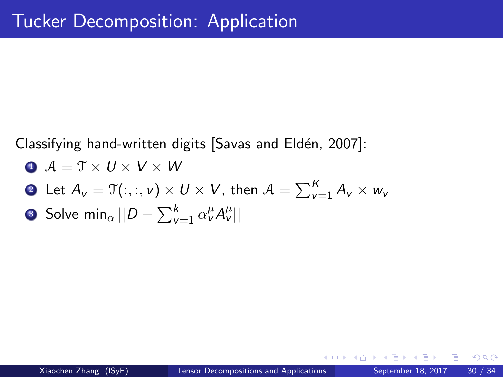Classifying hand-written digits [Savas and Eldén, 2007]:

$$
\bullet \ \mathcal{A} = \mathcal{T} \times U \times V \times W
$$

• Let 
$$
A_v = \mathfrak{T}(:, :, v) \times U \times V
$$
, then  $A = \sum_{v=1}^{K} A_v \times w_v$ 

$$
\bullet \text{ Solve } \min_{\alpha} ||D - \sum_{v=1}^{k} \alpha_v^{\mu} A_v^{\mu}||
$$

**∢ ⊡**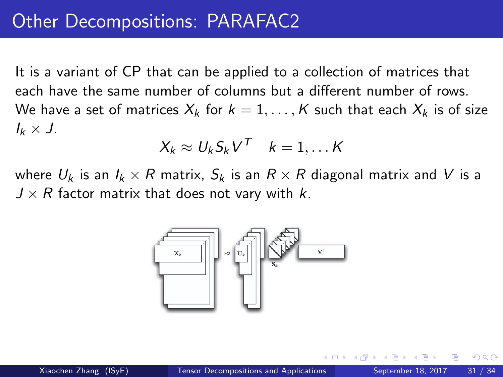It is a variant of CP that can be applied to a collection of matrices that each have the same number of columns but a different number of rows. We have a set of matrices  $X_k$  for  $k = 1, \ldots, K$  such that each  $X_k$  is of size  $I_k \times J$ .

$$
X_k \approx U_k S_k V^T \quad k=1,\ldots K
$$

where  $U_k$  is an  $I_k \times R$  matrix,  $S_k$  is an  $R \times R$  diagonal matrix and V is a  $J \times R$  factor matrix that does not vary with k.

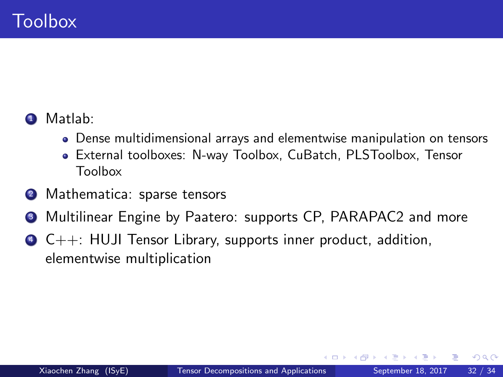#### **1** Matlab:

- Dense multidimensional arrays and elementwise manipulation on tensors
- External toolboxes: N-way Toolbox, CuBatch, PLSToolbox, Tensor Toolbox
- 2 Mathematica: sparse tensors
- <sup>3</sup> Multilinear Engine by Paatero: supports CP, PARAPAC2 and more
- $\bullet$  C++: HUJI Tensor Library, supports inner product, addition, elementwise multiplication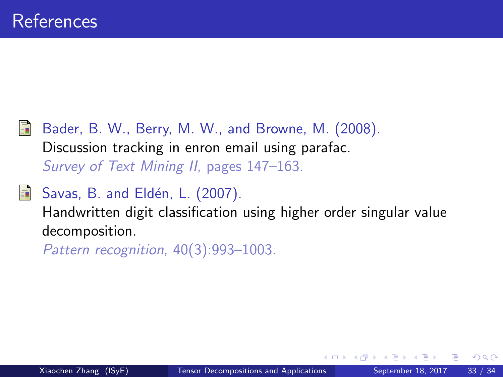<span id="page-32-0"></span>Bader, B. W., Berry, M. W., and Browne, M. (2008). Discussion tracking in enron email using parafac. Survey of Text Mining II, pages 147–163.

#### <span id="page-32-1"></span>Savas, B. and Eldén, L. (2007). 螶

Handwritten digit classification using higher order singular value decomposition.

Pattern recognition, 40(3):993–1003.